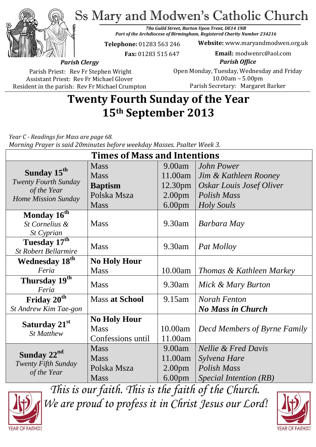Ss Mary and Modwen's Catholic Church



*78a Guild Street, Burton Upon Trent, DE14 1NB Part of the Archdiocese of Birmingham, Registered Charity Number 234216*

**Telephone:** 01283 563 246

 **Fax:** 01283 515 647

**Website:** www.maryandmodwen.org.uk **Email:** modwenrc@aol.com

*Parish Clergy*

Parish Priest: Rev Fr Stephen Wright Assistant Priest: Rev Fr Michael Glover Resident in the parish: Rev Fr Michael Crumpton

*Parish Office* Open Monday, Tuesday, Wednesday and Friday 10.00am – 5.00pm Parish Secretary:Margaret Barker

# **Twenty Fourth Sunday of the Year 15th September 2013**

*Year C - Readings for Mass are page 68. Morning Prayer is said 20minutes before weekday Masses. Psalter Week 3.*

| <b>Times of Mass and Intentions</b>                                                          |                       |                    |                                     |
|----------------------------------------------------------------------------------------------|-----------------------|--------------------|-------------------------------------|
| Sunday 15 <sup>th</sup><br><b>Twenty Fourth Sunday</b><br>of the Year<br>Home Mission Sunday | <b>Mass</b>           | 9.00am             | <b>John Power</b>                   |
|                                                                                              | <b>Mass</b>           | 11.00am            | Jim & Kathleen Rooney               |
|                                                                                              | <b>Baptism</b>        | 12.30pm            | <b>Oskar Louis Josef Oliver</b>     |
|                                                                                              | Polska Msza           | 2.00 <sub>pm</sub> | <b>Polish Mass</b>                  |
|                                                                                              | <b>Mass</b>           | 6.00 <sub>pm</sub> | <b>Holy Souls</b>                   |
| Monday 16 <sup>th</sup>                                                                      |                       |                    |                                     |
| St Cornelius &                                                                               | <b>Mass</b>           | $9.30$ am          | Barbara May                         |
| St Cyprian                                                                                   |                       |                    |                                     |
| Tuesday 17th                                                                                 | <b>Mass</b>           | 9.30am             | Pat Molloy                          |
| <b>St Robert Bellarmire</b>                                                                  |                       |                    |                                     |
| <b>Wednesday 18th</b>                                                                        | <b>No Holy Hour</b>   |                    |                                     |
| Feria                                                                                        | <b>Mass</b>           | 10.00am            | Thomas & Kathleen Markey            |
| Thursday 19th<br>Feria                                                                       | <b>Mass</b>           | 9.30am             | Mick & Mary Burton                  |
| Friday $20^{\overline{th}}$                                                                  | <b>Mass at School</b> | 9.15am             | <b>Norah Fenton</b>                 |
| St Andrew Kim Tae-gon                                                                        |                       |                    | <b>No Mass in Church</b>            |
|                                                                                              | <b>No Holy Hour</b>   |                    |                                     |
| Saturday 21st<br><b>St Matthew</b>                                                           | <b>Mass</b>           | 10.00am            | <b>Decd Members of Byrne Family</b> |
|                                                                                              | Confessions until     | 11.00am            |                                     |
| Sunday 22 <sup>nd</sup><br>Twenty Fifth Sunday<br>of the Year                                | <b>Mass</b>           | 9.00am             | <b>Nellie &amp; Fred Davis</b>      |
|                                                                                              |                       |                    |                                     |
|                                                                                              | <b>Mass</b>           | 11.00am            | Sylvena Hare                        |
|                                                                                              | Polska Msza           | 2.00 <sub>pm</sub> | <b>Polish Mass</b>                  |
|                                                                                              | <b>Mass</b>           | 6.00 <sub>pm</sub> | Special Intention (RB)              |



*This is our faith. This is the faith of the Church. We are proud to profess it in Christ Jesus our Lord!*

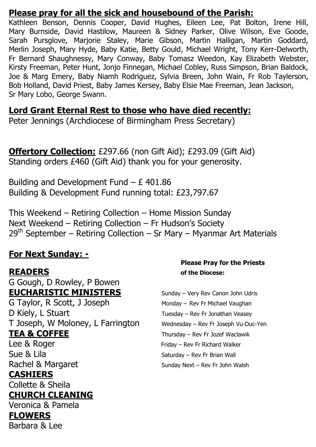## **Please pray for all the sick and housebound of the Parish:**

Kathleen Benson, Dennis Cooper, David Hughes, Eileen Lee, Pat Bolton, Irene Hill, Mary Burnside, David Hastilow, Maureen & Sidney Parker, Olive Wilson, Eve Goode, Sarah Pursglove, Marjorie Staley, Marie Gibson, Martin Halligan, Martin Goddard, Merlin Joseph, Mary Hyde, Baby Katie, Betty Gould, Michael Wright, Tony Kerr-Delworth, Fr Bernard Shaughnessy, Mary Conway, Baby Tomasz Weedon, Kay Elizabeth Webster, Kirsty Freeman, Peter Hunt, Jonjo Finnegan, Michael Cobley, Russ Simpson, Brian Baldock, Joe & Marg Emery, Baby Niamh Rodriguez, Sylvia Breen, John Wain, Fr Rob Taylerson, Bob Holland, David Priest, Baby James Kersey, Baby Elsie Mae Freeman, Jean Jackson, Sr Mary Lobo, George Swann.

**Lord Grant Eternal Rest to those who have died recently:**

Peter Jennings (Archdiocese of Birmingham Press Secretary)

**Offertory Collection:** £297.66 (non Gift Aid); £293.09 (Gift Aid) Standing orders £460 (Gift Aid) thank you for your generosity.

Building and Development Fund  $- E$  401.86 Building & Development Fund running total: £23,797.67

This Weekend – Retiring Collection – Home Mission Sunday Next Weekend – Retiring Collection – Fr Hudson's Society  $29<sup>th</sup>$  September – Retiring Collection – Sr Mary – Myanmar Art Materials

# **For Next Sunday: -**

G Gough, D Rowley, P Bowen **EUCHARISTIC MINISTERS** Sunday – Very Rev Canon John Udris

D Kiely, L Stuart Tuesday – Rev Fr Jonathan Veasey T Joseph, W Moloney, L Farrington Wednesday - Rev Fr Joseph Vu-Duc-Yen **TEA & COFFEE** Thursday – Rev Fr Jozef Waclawik

**CASHIERS**

Collette & Sheila

#### **CHURCH CLEANING** Veronica & Pamela

# **FLOWERS**

Barbara & Lee

### **Please Pray for the Priests READERS of the Diocese:**

G Taylor, R Scott, J Joseph Monday – Rev Fr Michael Vaughan Lee & Roger Friday – Rev Fr Richard Walker Sue & Lila Sue Saturday – Rev Fr Brian Wall Rachel & Margaret Sunday Next – Rev Fr John Walsh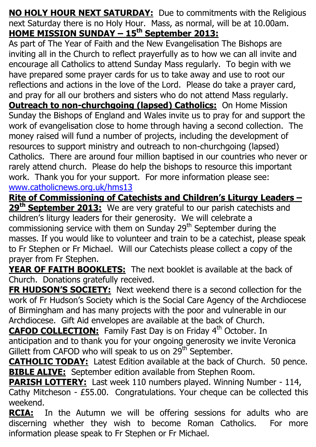**NO HOLY HOUR NEXT SATURDAY:** Due to commitments with the Religious next Saturday there is no Holy Hour. Mass, as normal, will be at 10.00am. **HOME MISSION SUNDAY – 15th September 2013:**

As part of The Year of Faith and the New Evangelisation The Bishops are inviting all in the Church to reflect prayerfully as to how we can all invite and encourage all Catholics to attend Sunday Mass regularly. To begin with we have prepared some prayer cards for us to take away and use to root our reflections and actions in the love of the Lord. Please do take a prayer card, and pray for all our brothers and sisters who do not attend Mass regularly. **Outreach to non-churchgoing (lapsed) Catholics:** On Home Mission Sunday the Bishops of England and Wales invite us to pray for and support the work of evangelisation close to home through having a second collection. The money raised will fund a number of projects, including the development of resources to support ministry and outreach to non-churchgoing (lapsed) Catholics. There are around four million baptised in our countries who never or rarely attend church. Please do help the bishops to resource this important work. Thank you for your support. For more information please see: [www.catholicnews.org.uk/hms13](http://www.catholicnews.org.uk/hms13)

**Rite of Commissioning of Catechists and Children's Liturgy Leaders –**

**29th September 2013:** We are very grateful to our parish catechists and children's liturgy leaders for their generosity. We will celebrate a commissioning service with them on Sunday  $29<sup>th</sup>$  September during the masses. If you would like to volunteer and train to be a catechist, please speak to Fr Stephen or Fr Michael. Will our Catechists please collect a copy of the prayer from Fr Stephen.

**YEAR OF FAITH BOOKLETS:** The next booklet is available at the back of Church. Donations gratefully received.

**FR HUDSON'S SOCIETY:** Next weekend there is a second collection for the work of Fr Hudson's Society which is the Social Care Agency of the Archdiocese of Birmingham and has many projects with the poor and vulnerable in our Archdiocese. Gift Aid envelopes are available at the back of Church.

**CAFOD COLLECTION:** Family Fast Day is on Friday 4<sup>th</sup> October. In anticipation and to thank you for your ongoing generosity we invite Veronica Gillett from CAFOD who will speak to us on  $29^{th}$  September.

**CATHOLIC TODAY:** Latest Edition available at the back of Church. 50 pence. **BIBLE ALIVE:** September edition available from Stephen Room.

**PARISH LOTTERY:** Last week 110 numbers played. Winning Number - 114, Cathy Mitcheson - £55.00. Congratulations. Your cheque can be collected this weekend.

**RCIA:** In the Autumn we will be offering sessions for adults who are discerning whether they wish to become Roman Catholics. For more information please speak to Fr Stephen or Fr Michael.